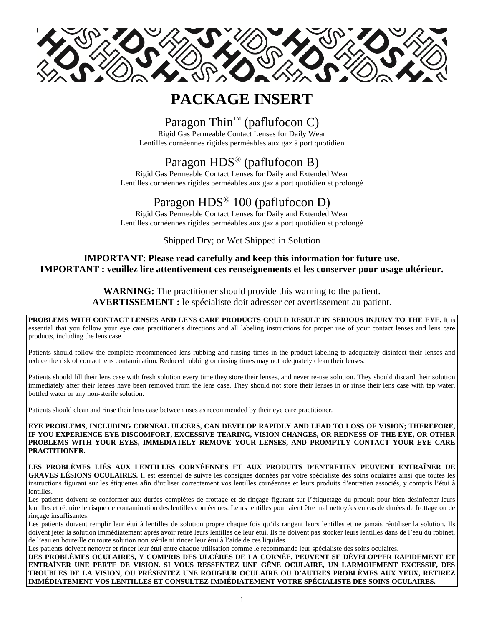

# **PACKAGE INSERT**

# Paragon Thin<sup>™</sup> (paflufocon C)

Rigid Gas Permeable Contact Lenses for Daily Wear Lentilles cornéennes rigides perméables aux gaz à port quotidien

# Paragon HDS® (paflufocon B)

Rigid Gas Permeable Contact Lenses for Daily and Extended Wear Lentilles cornéennes rigides perméables aux gaz à port quotidien et prolongé

# Paragon HDS® 100 (paflufocon D)

Rigid Gas Permeable Contact Lenses for Daily and Extended Wear Lentilles cornéennes rigides perméables aux gaz à port quotidien et prolongé

Shipped Dry; or Wet Shipped in Solution

# **IMPORTANT: Please read carefully and keep this information for future use. IMPORTANT : veuillez lire attentivement ces renseignements et les conserver pour usage ultérieur.**

# **WARNING:** The practitioner should provide this warning to the patient. **AVERTISSEMENT :** le spécialiste doit adresser cet avertissement au patient.

**PROBLEMS WITH CONTACT LENSES AND LENS CARE PRODUCTS COULD RESULT IN SERIOUS INJURY TO THE EYE.** It is essential that you follow your eye care practitioner's directions and all labeling instructions for proper use of your contact lenses and lens care products, including the lens case.

Patients should follow the complete recommended lens rubbing and rinsing times in the product labeling to adequately disinfect their lenses and reduce the risk of contact lens contamination. Reduced rubbing or rinsing times may not adequately clean their lenses.

Patients should fill their lens case with fresh solution every time they store their lenses, and never re-use solution. They should discard their solution immediately after their lenses have been removed from the lens case. They should not store their lenses in or rinse their lens case with tap water, bottled water or any non-sterile solution.

Patients should clean and rinse their lens case between uses as recommended by their eye care practitioner.

**EYE PROBLEMS, INCLUDING CORNEAL ULCERS, CAN DEVELOP RAPIDLY AND LEAD TO LOSS OF VISION; THEREFORE, IF YOU EXPERIENCE EYE DISCOMFORT, EXCESSIVE TEARING, VISION CHANGES, OR REDNESS OF THE EYE, OR OTHER PROBLEMS WITH YOUR EYES, IMMEDIATELY REMOVE YOUR LENSES, AND PROMPTLY CONTACT YOUR EYE CARE PRACTITIONER.** 

**LES PROBLÈMES LIÉS AUX LENTILLES CORNÉENNES ET AUX PRODUITS D'ENTRETIEN PEUVENT ENTRAÎNER DE GRAVES LÉSIONS OCULAIRES.** Il est essentiel de suivre les consignes données par votre spécialiste des soins oculaires ainsi que toutes les instructions figurant sur les étiquettes afin d'utiliser correctement vos lentilles cornéennes et leurs produits d'entretien associés, y compris l'étui à lentilles.

Les patients doivent se conformer aux durées complètes de frottage et de rinçage figurant sur l'étiquetage du produit pour bien désinfecter leurs lentilles et réduire le risque de contamination des lentilles cornéennes. Leurs lentilles pourraient être mal nettoyées en cas de durées de frottage ou de rinçage insuffisantes.

Les patients doivent remplir leur étui à lentilles de solution propre chaque fois qu'ils rangent leurs lentilles et ne jamais réutiliser la solution. Ils doivent jeter la solution immédiatement après avoir retiré leurs lentilles de leur étui. Ils ne doivent pas stocker leurs lentilles dans de l'eau du robinet, de l'eau en bouteille ou toute solution non stérile ni rincer leur étui à l'aide de ces liquides.

Les patients doivent nettoyer et rincer leur étui entre chaque utilisation comme le recommande leur spécialiste des soins oculaires.

**DES PROBLÈMES OCULAIRES, Y COMPRIS DES ULCÈRES DE LA CORNÉE, PEUVENT SE DÉVELOPPER RAPIDEMENT ET ENTRAÎNER UNE PERTE DE VISION. SI VOUS RESSENTEZ UNE GÊNE OCULAIRE, UN LARMOIEMENT EXCESSIF, DES TROUBLES DE LA VISION, OU PRÉSENTEZ UNE ROUGEUR OCULAIRE OU D'AUTRES PROBLÈMES AUX YEUX, RETIREZ IMMÉDIATEMENT VOS LENTILLES ET CONSULTEZ IMMÉDIATEMENT VOTRE SPÉCIALISTE DES SOINS OCULAIRES.**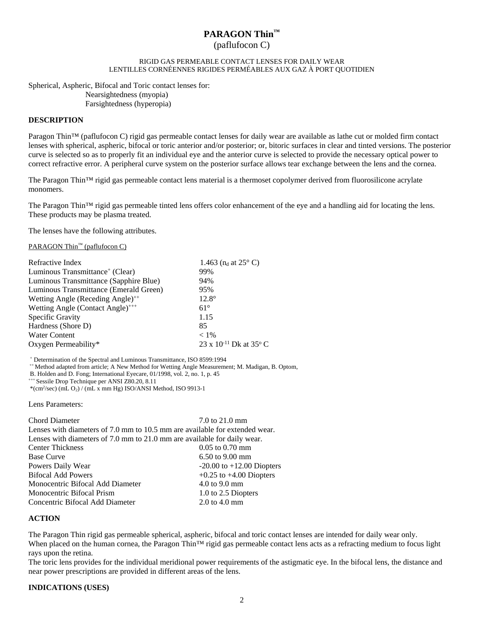# **PARAGON Thin™**  (paflufocon C)

#### RIGID GAS PERMEABLE CONTACT LENSES FOR DAILY WEAR LENTILLES CORNÉENNES RIGIDES PERMÉABLES AUX GAZ À PORT QUOTIDIEN

Spherical, Aspheric, Bifocal and Toric contact lenses for: Nearsightedness (myopia) Farsightedness (hyperopia)

#### **DESCRIPTION**

Paragon Thin™ (paflufocon C) rigid gas permeable contact lenses for daily wear are available as lathe cut or molded firm contact lenses with spherical, aspheric, bifocal or toric anterior and/or posterior; or, bitoric surfaces in clear and tinted versions. The posterior curve is selected so as to properly fit an individual eye and the anterior curve is selected to provide the necessary optical power to correct refractive error. A peripheral curve system on the posterior surface allows tear exchange between the lens and the cornea.

The Paragon Thin™ rigid gas permeable contact lens material is a thermoset copolymer derived from fluorosilicone acrylate monomers.

The Paragon Thin™ rigid gas permeable tinted lens offers color enhancement of the eye and a handling aid for locating the lens. These products may be plasma treated.

The lenses have the following attributes.

PARAGON Thin™ (paflufocon C)

| Refractive Index                             | 1.463 ( $n_d$ at 25 $\degree$ C)             |
|----------------------------------------------|----------------------------------------------|
| Luminous Transmittance <sup>+</sup> (Clear)  | 99%                                          |
| Luminous Transmittance (Sapphire Blue)       | 94%                                          |
| Luminous Transmittance (Emerald Green)       | 95%                                          |
| Wetting Angle (Receding Angle) <sup>++</sup> | $12.8^\circ$                                 |
| Wetting Angle (Contact Angle) <sup>+++</sup> | $61^\circ$                                   |
| Specific Gravity                             | 1.15                                         |
| Hardness (Shore D)                           | 85                                           |
| <b>Water Content</b>                         | $< 1\%$                                      |
| Oxygen Permeability*                         | 23 x 10 <sup>-11</sup> Dk at 35 $^{\circ}$ C |

<sup>+</sup> Determination of the Spectral and Luminous Transmittance, ISO 8599:1994

 $+$  Method adapted from article; A New Method for Wetting Angle Measurement; M. Madigan, B. Optom,

B. Holden and D. Fong; International Eyecare, 01/1998, vol. 2, no. 1, p. 45 \*\*\* Sessile Drop Technique per ANSI Z80.20, 8.11

\*(cm2 /sec) (mL O2) / (mL x mm Hg) ISO/ANSI Method, ISO 9913-1

Lens Parameters:

| <b>Chord Diameter</b>                                                       | 7.0 to 21.0 mm                |
|-----------------------------------------------------------------------------|-------------------------------|
| Lenses with diameters of 7.0 mm to 10.5 mm are available for extended wear. |                               |
| Lenses with diameters of 7.0 mm to 21.0 mm are available for daily wear.    |                               |
| <b>Center Thickness</b>                                                     | $0.05$ to $0.70$ mm           |
| <b>Base Curve</b>                                                           | $6.50$ to $9.00$ mm           |
| Powers Daily Wear                                                           | $-20.00$ to $+12.00$ Diopters |
| <b>Bifocal Add Powers</b>                                                   | $+0.25$ to $+4.00$ Diopters   |
| Monocentric Bifocal Add Diameter                                            | 4.0 to $9.0 \text{ mm}$       |
| Monocentric Bifocal Prism                                                   | 1.0 to 2.5 Diopters           |
| Concentric Bifocal Add Diameter                                             | $2.0$ to $4.0$ mm             |

## **ACTION**

The Paragon Thin rigid gas permeable spherical, aspheric, bifocal and toric contact lenses are intended for daily wear only. When placed on the human cornea, the Paragon Thin<sup>™</sup> rigid gas permeable contact lens acts as a refracting medium to focus light rays upon the retina.

The toric lens provides for the individual meridional power requirements of the astigmatic eye. In the bifocal lens, the distance and near power prescriptions are provided in different areas of the lens.

#### **INDICATIONS (USES)**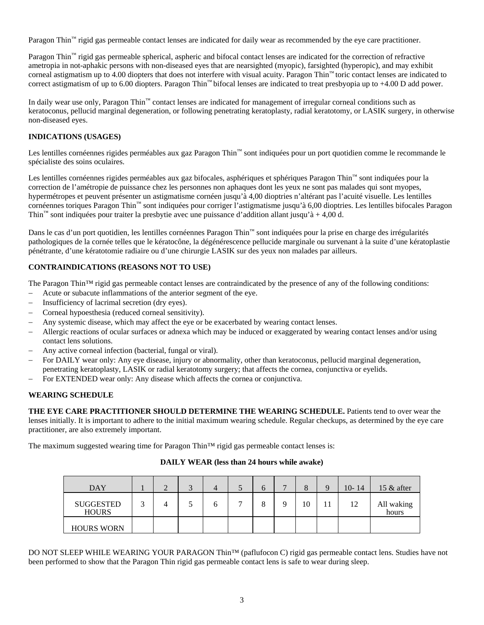Paragon Thin™ rigid gas permeable contact lenses are indicated for daily wear as recommended by the eye care practitioner.

Paragon Thin™ rigid gas permeable spherical, aspheric and bifocal contact lenses are indicated for the correction of refractive ametropia in not-aphakic persons with non-diseased eyes that are nearsighted (myopic), farsighted (hyperopic), and may exhibit corneal astigmatism up to 4.00 diopters that does not interfere with visual acuity. Paragon Thin™ toric contact lenses are indicated to correct astigmatism of up to 6.00 diopters. Paragon Thin™ bifocal lenses are indicated to treat presbyopia up to +4.00 D add power.

In daily wear use only, Paragon Thin™ contact lenses are indicated for management of irregular corneal conditions such as keratoconus, pellucid marginal degeneration, or following penetrating keratoplasty, radial keratotomy, or LASIK surgery, in otherwise non-diseased eyes.

# **INDICATIONS (USAGES)**

Les lentilles cornéennes rigides perméables aux gaz Paragon Thin™ sont indiquées pour un port quotidien comme le recommande le spécialiste des soins oculaires.

Les lentilles cornéennes rigides perméables aux gaz bifocales, asphériques et sphériques Paragon Thin™ sont indiquées pour la correction de l'amétropie de puissance chez les personnes non aphaques dont les yeux ne sont pas malades qui sont myopes, hypermétropes et peuvent présenter un astigmatisme cornéen jusqu'à 4,00 dioptries n'altérant pas l'acuité visuelle. Les lentilles cornéennes toriques Paragon Thin™ sont indiquées pour corriger l'astigmatisme jusqu'à 6,00 dioptries. Les lentilles bifocales Paragon Thin<sup>™</sup> sont indiquées pour traiter la presbytie avec une puissance d'addition allant jusqu'à + 4,00 d.

Dans le cas d'un port quotidien, les lentilles cornéennes Paragon Thin™ sont indiquées pour la prise en charge des irrégularités pathologiques de la cornée telles que le kératocône, la dégénérescence pellucide marginale ou survenant à la suite d'une kératoplastie pénétrante, d'une kératotomie radiaire ou d'une chirurgie LASIK sur des yeux non malades par ailleurs.

# **CONTRAINDICATIONS (REASONS NOT TO USE)**

The Paragon Thin™ rigid gas permeable contact lenses are contraindicated by the presence of any of the following conditions:

- Acute or subacute inflammations of the anterior segment of the eye.
- Insufficiency of lacrimal secretion (dry eyes).
- Corneal hypoesthesia (reduced corneal sensitivity).
- Any systemic disease, which may affect the eye or be exacerbated by wearing contact lenses.
- Allergic reactions of ocular surfaces or adnexa which may be induced or exaggerated by wearing contact lenses and/or using contact lens solutions.
- Any active corneal infection (bacterial, fungal or viral).
- For DAILY wear only: Any eye disease, injury or abnormality, other than keratoconus, pellucid marginal degeneration, penetrating keratoplasty, LASIK or radial keratotomy surgery; that affects the cornea, conjunctiva or eyelids.
- For EXTENDED wear only: Any disease which affects the cornea or conjunctiva.

# **WEARING SCHEDULE**

**THE EYE CARE PRACTITIONER SHOULD DETERMINE THE WEARING SCHEDULE.** Patients tend to over wear the lenses initially. It is important to adhere to the initial maximum wearing schedule. Regular checkups, as determined by the eye care practitioner, are also extremely important.

The maximum suggested wearing time for Paragon Thin™ rigid gas permeable contact lenses is:

| <b>DAY</b>                       | ◠ | ⌒<br>Ć | 4 |   | O |   | 8  | $10 - 14$ | 15 $\&$ after       |
|----------------------------------|---|--------|---|---|---|---|----|-----------|---------------------|
| <b>SUGGESTED</b><br><b>HOURS</b> |   |        |   | − |   | Q | 10 | 12        | All waking<br>hours |
| <b>HOURS WORN</b>                |   |        |   |   |   |   |    |           |                     |

## **DAILY WEAR (less than 24 hours while awake)**

DO NOT SLEEP WHILE WEARING YOUR PARAGON Thin<sup>™</sup> (paflufocon C) rigid gas permeable contact lens. Studies have not been performed to show that the Paragon Thin rigid gas permeable contact lens is safe to wear during sleep.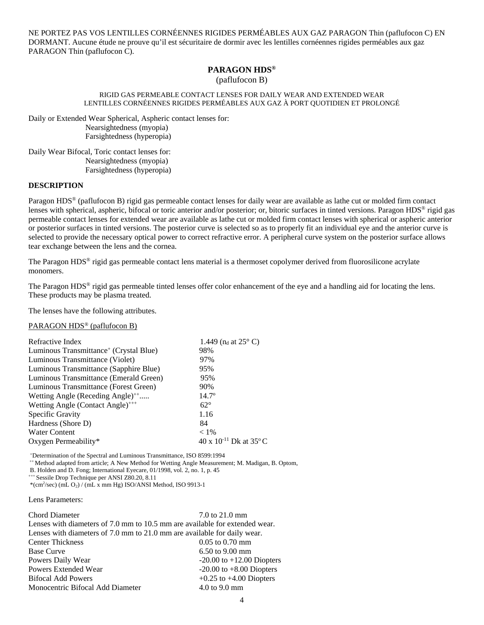NE PORTEZ PAS VOS LENTILLES CORNÉENNES RIGIDES PERMÉABLES AUX GAZ PARAGON Thin (paflufocon C) EN DORMANT. Aucune étude ne prouve qu'il est sécuritaire de dormir avec les lentilles cornéennes rigides perméables aux gaz PARAGON Thin (paflufocon C).

# **PARAGON HDS®**

(paflufocon B)

#### RIGID GAS PERMEABLE CONTACT LENSES FOR DAILY WEAR AND EXTENDED WEAR LENTILLES CORNÉENNES RIGIDES PERMÉABLES AUX GAZ À PORT QUOTIDIEN ET PROLONGÉ

Daily or Extended Wear Spherical, Aspheric contact lenses for: Nearsightedness (myopia) Farsightedness (hyperopia)

Daily Wear Bifocal, Toric contact lenses for: Nearsightedness (myopia) Farsightedness (hyperopia)

#### **DESCRIPTION**

Paragon HDS® (paflufocon B) rigid gas permeable contact lenses for daily wear are available as lathe cut or molded firm contact lenses with spherical, aspheric, bifocal or toric anterior and/or posterior; or, bitoric surfaces in tinted versions. Paragon HDS® rigid gas permeable contact lenses for extended wear are available as lathe cut or molded firm contact lenses with spherical or aspheric anterior or posterior surfaces in tinted versions. The posterior curve is selected so as to properly fit an individual eye and the anterior curve is selected to provide the necessary optical power to correct refractive error. A peripheral curve system on the posterior surface allows tear exchange between the lens and the cornea.

The Paragon HDS® rigid gas permeable contact lens material is a thermoset copolymer derived from fluorosilicone acrylate monomers.

The Paragon HDS<sup>®</sup> rigid gas permeable tinted lenses offer color enhancement of the eye and a handling aid for locating the lens. These products may be plasma treated.

The lenses have the following attributes.

## PARAGON HDS® (paflufocon B)

| Refractive Index                                   | 1.449 ( $n_d$ at 25 $\degree$ C)     |
|----------------------------------------------------|--------------------------------------|
| Luminous Transmittance <sup>+</sup> (Crystal Blue) | 98%                                  |
| Luminous Transmittance (Violet)                    | 97%                                  |
| Luminous Transmittance (Sapphire Blue)             | 95%                                  |
| Luminous Transmittance (Emerald Green)             | 95%                                  |
| Luminous Transmittance (Forest Green)              | 90%                                  |
| Wetting Angle (Receding Angle) <sup>++</sup>       | $14.7^{\circ}$                       |
| Wetting Angle (Contact Angle) <sup>+++</sup>       | $62^\circ$                           |
| Specific Gravity                                   | 1.16                                 |
| Hardness (Shore D)                                 | 84                                   |
| <b>Water Content</b>                               | $< 1\%$                              |
| Oxygen Permeability*                               | 40 x $10^{-11}$ Dk at $35^{\circ}$ C |

+ Determination of the Spectral and Luminous Transmittance, ISO 8599:1994

++ Method adapted from article; A New Method for Wetting Angle Measurement; M. Madigan, B. Optom,

B. Holden and D. Fong; International Eyecare, 01/1998, vol. 2, no. 1, p. 45 \*\*\* Sessile Drop Technique per ANSI Z80.20, 8.11

\*(cm2 /sec) (mL O2) / (mL x mm Hg) ISO/ANSI Method, ISO 9913-1

Lens Parameters:

| <b>Chord Diameter</b>                                                       | 7.0 to 21.0 mm                   |
|-----------------------------------------------------------------------------|----------------------------------|
| Lenses with diameters of 7.0 mm to 10.5 mm are available for extended wear. |                                  |
| Lenses with diameters of 7.0 mm to 21.0 mm are available for daily wear.    |                                  |
| <b>Center Thickness</b>                                                     | $0.05$ to $0.70$ mm              |
| <b>Base Curve</b>                                                           | $6.50$ to $9.00$ mm              |
| Powers Daily Wear                                                           | $-20.00$ to $+12.00$ Diopters    |
| Powers Extended Wear                                                        | $-20.00$ to $+8.00$ Diopters     |
| <b>Bifocal Add Powers</b>                                                   | $+0.25$ to $+4.00$ Diopters      |
| Monocentric Bifocal Add Diameter                                            | $4.0 \text{ to } 9.0 \text{ mm}$ |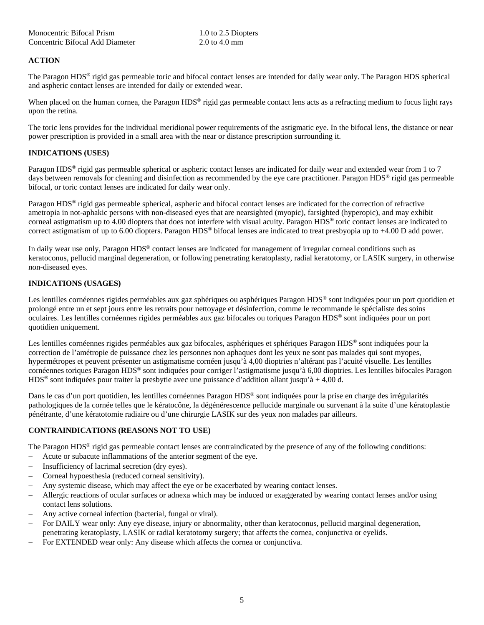| Monocentric Bifocal Prism       | 1.0 to 2.5 Diopters |
|---------------------------------|---------------------|
| Concentric Bifocal Add Diameter | 2.0 to 4.0 mm       |

# **ACTION**

The Paragon HDS® rigid gas permeable toric and bifocal contact lenses are intended for daily wear only. The Paragon HDS spherical and aspheric contact lenses are intended for daily or extended wear.

When placed on the human cornea, the Paragon  $HDS^{\circ}$  rigid gas permeable contact lens acts as a refracting medium to focus light rays upon the retina.

The toric lens provides for the individual meridional power requirements of the astigmatic eye. In the bifocal lens, the distance or near power prescription is provided in a small area with the near or distance prescription surrounding it.

## **INDICATIONS (USES)**

Paragon HDS® rigid gas permeable spherical or aspheric contact lenses are indicated for daily wear and extended wear from 1 to 7 days between removals for cleaning and disinfection as recommended by the eye care practitioner. Paragon HDS<sup>®</sup> rigid gas permeable bifocal, or toric contact lenses are indicated for daily wear only.

Paragon HDS® rigid gas permeable spherical, aspheric and bifocal contact lenses are indicated for the correction of refractive ametropia in not-aphakic persons with non-diseased eyes that are nearsighted (myopic), farsighted (hyperopic), and may exhibit corneal astigmatism up to 4.00 diopters that does not interfere with visual acuity. Paragon HDS® toric contact lenses are indicated to correct astigmatism of up to 6.00 diopters. Paragon HDS® bifocal lenses are indicated to treat presbyopia up to +4.00 D add power.

In daily wear use only, Paragon HDS® contact lenses are indicated for management of irregular corneal conditions such as keratoconus, pellucid marginal degeneration, or following penetrating keratoplasty, radial keratotomy, or LASIK surgery, in otherwise non-diseased eyes.

# **INDICATIONS (USAGES)**

Les lentilles cornéennes rigides perméables aux gaz sphériques ou asphériques Paragon HDS® sont indiquées pour un port quotidien et prolongé entre un et sept jours entre les retraits pour nettoyage et désinfection, comme le recommande le spécialiste des soins oculaires. Les lentilles cornéennes rigides perméables aux gaz bifocales ou toriques Paragon HDS® sont indiquées pour un port quotidien uniquement.

Les lentilles cornéennes rigides perméables aux gaz bifocales, asphériques et sphériques Paragon HDS<sup>®</sup> sont indiquées pour la correction de l'amétropie de puissance chez les personnes non aphaques dont les yeux ne sont pas malades qui sont myopes, hypermétropes et peuvent présenter un astigmatisme cornéen jusqu'à 4,00 dioptries n'altérant pas l'acuité visuelle. Les lentilles cornéennes toriques Paragon HDS® sont indiquées pour corriger l'astigmatisme jusqu'à 6,00 dioptries. Les lentilles bifocales Paragon HDS<sup>®</sup> sont indiquées pour traiter la presbytie avec une puissance d'addition allant jusqu'à + 4,00 d.

Dans le cas d'un port quotidien, les lentilles cornéennes Paragon HDS® sont indiquées pour la prise en charge des irrégularités pathologiques de la cornée telles que le kératocône, la dégénérescence pellucide marginale ou survenant à la suite d'une kératoplastie pénétrante, d'une kératotomie radiaire ou d'une chirurgie LASIK sur des yeux non malades par ailleurs.

# **CONTRAINDICATIONS (REASONS NOT TO USE)**

The Paragon  $HDS^{\circledast}$  rigid gas permeable contact lenses are contraindicated by the presence of any of the following conditions:

- Acute or subacute inflammations of the anterior segment of the eye.
- Insufficiency of lacrimal secretion (dry eyes).
- Corneal hypoesthesia (reduced corneal sensitivity).
- Any systemic disease, which may affect the eye or be exacerbated by wearing contact lenses.
- Allergic reactions of ocular surfaces or adnexa which may be induced or exaggerated by wearing contact lenses and/or using contact lens solutions.
- Any active corneal infection (bacterial, fungal or viral).
- For DAILY wear only: Any eye disease, injury or abnormality, other than keratoconus, pellucid marginal degeneration, penetrating keratoplasty, LASIK or radial keratotomy surgery; that affects the cornea, conjunctiva or eyelids.
- For EXTENDED wear only: Any disease which affects the cornea or conjunctiva.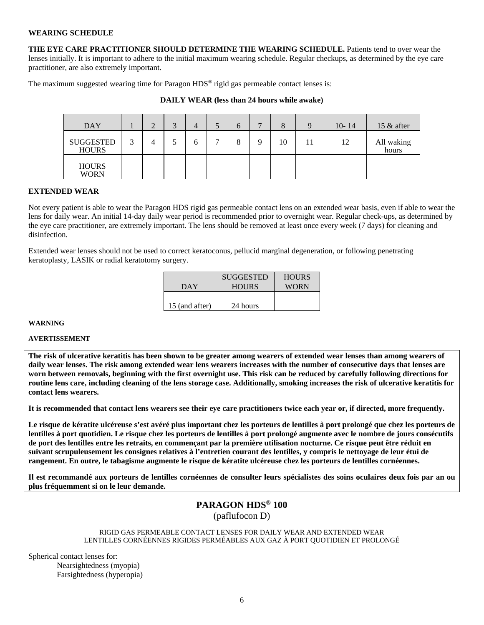#### **WEARING SCHEDULE**

**THE EYE CARE PRACTITIONER SHOULD DETERMINE THE WEARING SCHEDULE.** Patients tend to over wear the lenses initially. It is important to adhere to the initial maximum wearing schedule. Regular checkups, as determined by the eye care practitioner, are also extremely important.

The maximum suggested wearing time for Paragon HDS® rigid gas permeable contact lenses is:

| <b>DAY</b>                       |   | $\sqrt{2}$<br>- 1 | 4 | . . | $\mathfrak b$ | 8  | Q | $10 - 14$ | 15 $\&$ after       |
|----------------------------------|---|-------------------|---|-----|---------------|----|---|-----------|---------------------|
| <b>SUGGESTED</b><br><b>HOURS</b> | ◠ |                   | n | −   |               | 10 |   | 12        | All waking<br>hours |
| <b>HOURS</b><br><b>WORN</b>      |   |                   |   |     |               |    |   |           |                     |

#### **DAILY WEAR (less than 24 hours while awake)**

#### **EXTENDED WEAR**

Not every patient is able to wear the Paragon HDS rigid gas permeable contact lens on an extended wear basis, even if able to wear the lens for daily wear. An initial 14-day daily wear period is recommended prior to overnight wear. Regular check-ups, as determined by the eye care practitioner, are extremely important. The lens should be removed at least once every week (7 days) for cleaning and disinfection.

Extended wear lenses should not be used to correct keratoconus, pellucid marginal degeneration, or following penetrating keratoplasty, LASIK or radial keratotomy surgery.

|                | <b>SUGGESTED</b> | <b>HOURS</b> |
|----------------|------------------|--------------|
| DAY            | <b>HOURS</b>     | <b>WORN</b>  |
|                |                  |              |
| 15 (and after) | 24 hours         |              |

#### **WARNING**

#### **AVERTISSEMENT**

**The risk of ulcerative keratitis has been shown to be greater among wearers of extended wear lenses than among wearers of daily wear lenses. The risk among extended wear lens wearers increases with the number of consecutive days that lenses are worn between removals, beginning with the first overnight use. This risk can be reduced by carefully following directions for routine lens care, including cleaning of the lens storage case. Additionally, smoking increases the risk of ulcerative keratitis for contact lens wearers.** 

**It is recommended that contact lens wearers see their eye care practitioners twice each year or, if directed, more frequently.** 

**Le risque de kératite ulcéreuse s'est avéré plus important chez les porteurs de lentilles à port prolongé que chez les porteurs de lentilles à port quotidien. Le risque chez les porteurs de lentilles à port prolongé augmente avec le nombre de jours consécutifs de port des lentilles entre les retraits, en commençant par la première utilisation nocturne. Ce risque peut être réduit en suivant scrupuleusement les consignes relatives à l'entretien courant des lentilles, y compris le nettoyage de leur étui de rangement. En outre, le tabagisme augmente le risque de kératite ulcéreuse chez les porteurs de lentilles cornéennes.** 

**Il est recommandé aux porteurs de lentilles cornéennes de consulter leurs spécialistes des soins oculaires deux fois par an ou plus fréquemment si on le leur demande.**

# **PARAGON HDS® 100**

(paflufocon D)

RIGID GAS PERMEABLE CONTACT LENSES FOR DAILY WEAR AND EXTENDED WEAR LENTILLES CORNÉENNES RIGIDES PERMÉABLES AUX GAZ À PORT QUOTIDIEN ET PROLONGÉ

Spherical contact lenses for: Nearsightedness (myopia) Farsightedness (hyperopia)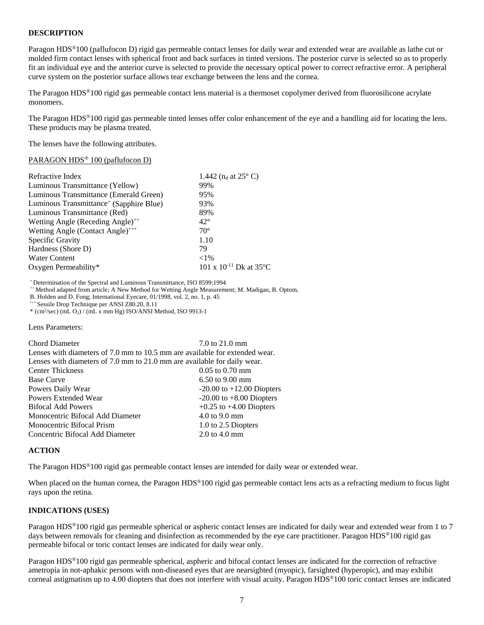## **DESCRIPTION**

Paragon HDS®100 (paflufocon D) rigid gas permeable contact lenses for daily wear and extended wear are available as lathe cut or molded firm contact lenses with spherical front and back surfaces in tinted versions. The posterior curve is selected so as to properly fit an individual eye and the anterior curve is selected to provide the necessary optical power to correct refractive error. A peripheral curve system on the posterior surface allows tear exchange between the lens and the cornea.

The Paragon HDS®100 rigid gas permeable contact lens material is a thermoset copolymer derived from fluorosilicone acrylate monomers.

The Paragon HDS®100 rigid gas permeable tinted lenses offer color enhancement of the eye and a handling aid for locating the lens. These products may be plasma treated.

The lenses have the following attributes.

#### PARAGON HDS® 100 (paflufocon D)

| Refractive Index                                    | 1.442 ( $n_d$ at 25 $\degree$ C) |
|-----------------------------------------------------|----------------------------------|
| Luminous Transmittance (Yellow)                     | 99%                              |
| Luminous Transmittance (Emerald Green)              | 95%                              |
| Luminous Transmittance <sup>+</sup> (Sapphire Blue) | 93%                              |
| Luminous Transmittance (Red)                        | 89%                              |
| Wetting Angle (Receding Angle) <sup>++</sup>        | $42^{\circ}$                     |
| Wetting Angle (Contact Angle) <sup>+++</sup>        | $70^{\circ}$                     |
| Specific Gravity                                    | 1.10                             |
| Hardness (Shore D)                                  | 79                               |
| <b>Water Content</b>                                | ${<}1\%$                         |
| Oxygen Permeability*                                | 101 x $10^{-11}$ Dk at 35°C      |

+ Determination of the Spectral and Luminous Transmittance, ISO 8599:1994

++ Method adapted from article; A New Method for Wetting Angle Measurement; M. Madigan, B. Optom,

B. Holden and D. Fong; International Eyecare, 01/1998, vol. 2, no. 1, p. 45 \*\*\* Sessile Drop Technique per ANSI Z80.20, 8.11

\* (cm2 /sec) (mL O2) / (mL x mm Hg) ISO/ANSI Method, ISO 9913-1

Lens Parameters:

Chord Diameter 7.0 to 21.0 mm Lenses with diameters of 7.0 mm to 10.5 mm are available for extended wear. Lenses with diameters of 7.0 mm to 21.0 mm are available for daily wear. Center Thickness 0.05 to 0.70 mm Base Curve 6.50 to 9.00 mm Powers Daily Wear -20.00 to +12.00 Diopters Powers Extended Wear -20.00 to +8.00 Diopters Bifocal Add Powers  $+0.25$  to  $+4.00$  Diopters Monocentric Bifocal Add Diameter 4.0 to 9.0 mm Monocentric Bifocal Prism 1.0 to 2.5 Diopters Concentric Bifocal Add Diameter 2.0 to 4.0 mm

#### **ACTION**

The Paragon HDS®100 rigid gas permeable contact lenses are intended for daily wear or extended wear.

When placed on the human cornea, the Paragon HDS<sup>®</sup>100 rigid gas permeable contact lens acts as a refracting medium to focus light rays upon the retina.

#### **INDICATIONS (USES)**

Paragon HDS®100 rigid gas permeable spherical or aspheric contact lenses are indicated for daily wear and extended wear from 1 to 7 days between removals for cleaning and disinfection as recommended by the eye care practitioner. Paragon HDS<sup>®</sup>100 rigid gas permeable bifocal or toric contact lenses are indicated for daily wear only.

Paragon HDS®100 rigid gas permeable spherical, aspheric and bifocal contact lenses are indicated for the correction of refractive ametropia in not-aphakic persons with non-diseased eyes that are nearsighted (myopic), farsighted (hyperopic), and may exhibit corneal astigmatism up to 4.00 diopters that does not interfere with visual acuity. Paragon HDS®100 toric contact lenses are indicated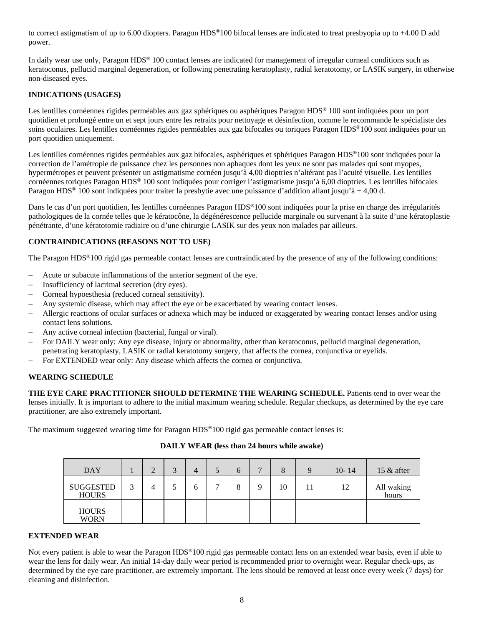to correct astigmatism of up to 6.00 diopters. Paragon  $HDS^{\circledast}100$  bifocal lenses are indicated to treat presbyopia up to +4.00 D add power.

In daily wear use only, Paragon HDS® 100 contact lenses are indicated for management of irregular corneal conditions such as keratoconus, pellucid marginal degeneration, or following penetrating keratoplasty, radial keratotomy, or LASIK surgery, in otherwise non-diseased eyes.

# **INDICATIONS (USAGES)**

Les lentilles cornéennes rigides perméables aux gaz sphériques ou asphériques Paragon HDS<sup>®</sup> 100 sont indiquées pour un port quotidien et prolongé entre un et sept jours entre les retraits pour nettoyage et désinfection, comme le recommande le spécialiste des soins oculaires. Les lentilles cornéennes rigides perméables aux gaz bifocales ou toriques Paragon HDS®100 sont indiquées pour un port quotidien uniquement.

Les lentilles cornéennes rigides perméables aux gaz bifocales, asphériques et sphériques Paragon HDS®100 sont indiquées pour la correction de l'amétropie de puissance chez les personnes non aphaques dont les yeux ne sont pas malades qui sont myopes, hypermétropes et peuvent présenter un astigmatisme cornéen jusqu'à 4,00 dioptries n'altérant pas l'acuité visuelle. Les lentilles cornéennes toriques Paragon HDS® 100 sont indiquées pour corriger l'astigmatisme jusqu'à 6,00 dioptries. Les lentilles bifocales Paragon HDS® 100 sont indiquées pour traiter la presbytie avec une puissance d'addition allant jusqu'à + 4,00 d.

Dans le cas d'un port quotidien, les lentilles cornéennes Paragon HDS®100 sont indiquées pour la prise en charge des irrégularités pathologiques de la cornée telles que le kératocône, la dégénérescence pellucide marginale ou survenant à la suite d'une kératoplastie pénétrante, d'une kératotomie radiaire ou d'une chirurgie LASIK sur des yeux non malades par ailleurs.

# **CONTRAINDICATIONS (REASONS NOT TO USE)**

The Paragon HDS®100 rigid gas permeable contact lenses are contraindicated by the presence of any of the following conditions:

- Acute or subacute inflammations of the anterior segment of the eye.
- Insufficiency of lacrimal secretion (dry eyes).
- Corneal hypoesthesia (reduced corneal sensitivity).
- Any systemic disease, which may affect the eye or be exacerbated by wearing contact lenses.
- Allergic reactions of ocular surfaces or adnexa which may be induced or exaggerated by wearing contact lenses and/or using contact lens solutions.
- Any active corneal infection (bacterial, fungal or viral).
- For DAILY wear only: Any eye disease, injury or abnormality, other than keratoconus, pellucid marginal degeneration, penetrating keratoplasty, LASIK or radial keratotomy surgery, that affects the cornea, conjunctiva or eyelids.
- For EXTENDED wear only: Any disease which affects the cornea or conjunctiva.

## **WEARING SCHEDULE**

**THE EYE CARE PRACTITIONER SHOULD DETERMINE THE WEARING SCHEDULE.** Patients tend to over wear the lenses initially. It is important to adhere to the initial maximum wearing schedule. Regular checkups, as determined by the eye care practitioner, are also extremely important.

The maximum suggested wearing time for Paragon HDS<sup>®</sup>100 rigid gas permeable contact lenses is:

## **DAILY WEAR (less than 24 hours while awake)**

| <b>DAY</b>                       |   | ◠<br>∠ | $\sqrt{2}$ | 4 | J | <sub>(</sub> | 8  | 9 | $10 - 14$ | 15 $\&$ after       |
|----------------------------------|---|--------|------------|---|---|--------------|----|---|-----------|---------------------|
| <b>SUGGESTED</b><br><b>HOURS</b> | 2 |        |            | h | − |              | 10 |   | 12        | All waking<br>hours |
| <b>HOURS</b><br><b>WORN</b>      |   |        |            |   |   |              |    |   |           |                     |

## **EXTENDED WEAR**

Not every patient is able to wear the Paragon  $HDS^{\circledast}100$  rigid gas permeable contact lens on an extended wear basis, even if able to wear the lens for daily wear. An initial 14-day daily wear period is recommended prior to overnight wear. Regular check-ups, as determined by the eye care practitioner, are extremely important. The lens should be removed at least once every week (7 days) for cleaning and disinfection.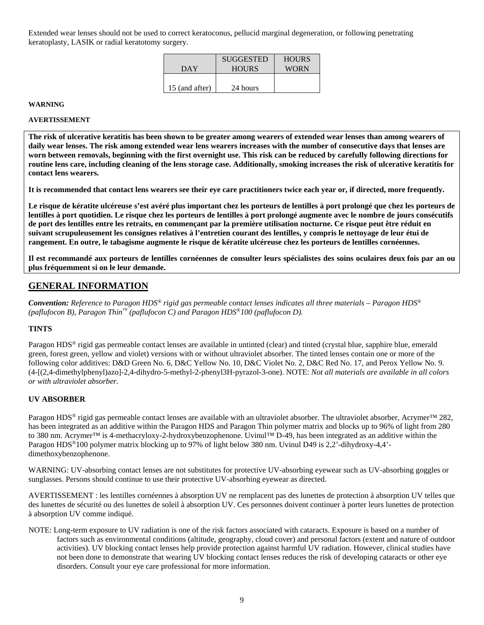Extended wear lenses should not be used to correct keratoconus, pellucid marginal degeneration, or following penetrating keratoplasty, LASIK or radial keratotomy surgery.

| DAY            | <b>SUGGESTED</b><br><b>HOURS</b> | <b>HOURS</b><br><b>WORN</b> |
|----------------|----------------------------------|-----------------------------|
| 15 (and after) | 24 hours                         |                             |

#### **WARNING**

#### **AVERTISSEMENT**

**The risk of ulcerative keratitis has been shown to be greater among wearers of extended wear lenses than among wearers of daily wear lenses. The risk among extended wear lens wearers increases with the number of consecutive days that lenses are worn between removals, beginning with the first overnight use. This risk can be reduced by carefully following directions for routine lens care, including cleaning of the lens storage case. Additionally, smoking increases the risk of ulcerative keratitis for contact lens wearers.** 

**It is recommended that contact lens wearers see their eye care practitioners twice each year or, if directed, more frequently.** 

**Le risque de kératite ulcéreuse s'est avéré plus important chez les porteurs de lentilles à port prolongé que chez les porteurs de lentilles à port quotidien. Le risque chez les porteurs de lentilles à port prolongé augmente avec le nombre de jours consécutifs de port des lentilles entre les retraits, en commençant par la première utilisation nocturne. Ce risque peut être réduit en suivant scrupuleusement les consignes relatives à l'entretien courant des lentilles, y compris le nettoyage de leur étui de rangement. En outre, le tabagisme augmente le risque de kératite ulcéreuse chez les porteurs de lentilles cornéennes.** 

**Il est recommandé aux porteurs de lentilles cornéennes de consulter leurs spécialistes des soins oculaires deux fois par an ou plus fréquemment si on le leur demande.** 

# **GENERAL INFORMATION**

*Convention: Reference to Paragon HDS® rigid gas permeable contact lenses indicates all three materials – Paragon HDS® (paflufocon B), Paragon Thin™ (paflufocon C) and Paragon HDS®100 (paflufocon D).*

## **TINTS**

Paragon HDS® rigid gas permeable contact lenses are available in untinted (clear) and tinted (crystal blue, sapphire blue, emerald green, forest green, yellow and violet) versions with or without ultraviolet absorber. The tinted lenses contain one or more of the following color additives: D&D Green No. 6, D&C Yellow No. 10, D&C Violet No. 2, D&C Red No. 17, and Perox Yellow No. 9. (4-[(2,4-dimethylphenyl)azo]-2,4-dihydro-5-methyl-2-phenyl3H-pyrazol-3-one). NOTE: *Not all materials are available in all colors or with ultraviolet absorber.*

# **UV ABSORBER**

Paragon HDS<sup>®</sup> rigid gas permeable contact lenses are available with an ultraviolet absorber. The ultraviolet absorber, Acrymer™ 282, has been integrated as an additive within the Paragon HDS and Paragon Thin polymer matrix and blocks up to 96% of light from 280 to 380 nm. Acrymer™ is 4-methacryloxy-2-hydroxybenzophenone. Uvinul™ D-49, has been integrated as an additive within the Paragon HDS®100 polymer matrix blocking up to 97% of light below 380 nm. Uvinul D49 is 2,2'-dihydroxy-4,4' dimethoxybenzophenone.

WARNING: UV-absorbing contact lenses are not substitutes for protective UV-absorbing eyewear such as UV-absorbing goggles or sunglasses. Persons should continue to use their protective UV-absorbing eyewear as directed.

AVERTISSEMENT : les lentilles cornéennes à absorption UV ne remplacent pas des lunettes de protection à absorption UV telles que des lunettes de sécurité ou des lunettes de soleil à absorption UV. Ces personnes doivent continuer à porter leurs lunettes de protection à absorption UV comme indiqué.

NOTE: Long-term exposure to UV radiation is one of the risk factors associated with cataracts. Exposure is based on a number of factors such as environmental conditions (altitude, geography, cloud cover) and personal factors (extent and nature of outdoor activities). UV blocking contact lenses help provide protection against harmful UV radiation. However, clinical studies have not been done to demonstrate that wearing UV blocking contact lenses reduces the risk of developing cataracts or other eye disorders. Consult your eye care professional for more information.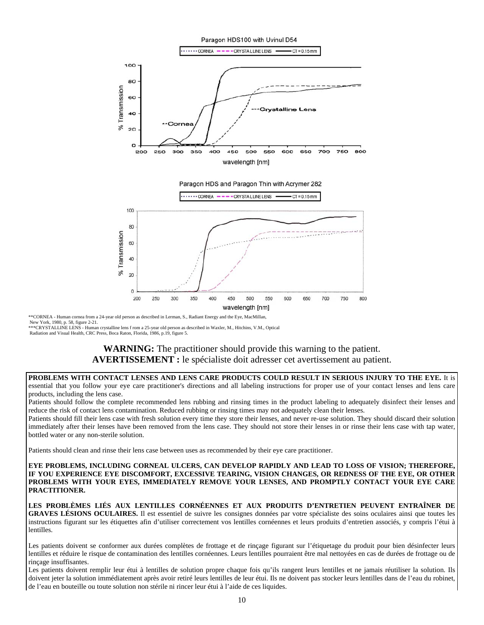

\*\*CORNEA - Human cornea from a 24-year old person as described in Lerman, S., Radiant Energy and the Eye, MacMillan, New York, 1980, p. 58, figure 2-21.<br>\*\*\*CRYSTALLINE LENS - Human crystalline lens f rom a 25-year old person as described in Waxler, M., Hitchins, V.M., Optical

Radiation and Visual Health, CRC Press, Boca Raton, Florida, 1986, p.19, figure 5.

# **WARNING:** The practitioner should provide this warning to the patient. **AVERTISSEMENT :** le spécialiste doit adresser cet avertissement au patient.

**PROBLEMS WITH CONTACT LENSES AND LENS CARE PRODUCTS COULD RESULT IN SERIOUS INJURY TO THE EYE.** It is essential that you follow your eye care practitioner's directions and all labeling instructions for proper use of your contact lenses and lens care products, including the lens case.

Patients should follow the complete recommended lens rubbing and rinsing times in the product labeling to adequately disinfect their lenses and reduce the risk of contact lens contamination. Reduced rubbing or rinsing times may not adequately clean their lenses.

Patients should fill their lens case with fresh solution every time they store their lenses, and never re-use solution. They should discard their solution immediately after their lenses have been removed from the lens case. They should not store their lenses in or rinse their lens case with tap water, bottled water or any non-sterile solution.

Patients should clean and rinse their lens case between uses as recommended by their eye care practitioner.

#### **EYE PROBLEMS, INCLUDING CORNEAL ULCERS, CAN DEVELOP RAPIDLY AND LEAD TO LOSS OF VISION; THEREFORE, IF YOU EXPERIENCE EYE DISCOMFORT, EXCESSIVE TEARING, VISION CHANGES, OR REDNESS OF THE EYE, OR OTHER PROBLEMS WITH YOUR EYES, IMMEDIATELY REMOVE YOUR LENSES, AND PROMPTLY CONTACT YOUR EYE CARE PRACTITIONER.**

**LES PROBLÈMES LIÉS AUX LENTILLES CORNÉENNES ET AUX PRODUITS D'ENTRETIEN PEUVENT ENTRAÎNER DE GRAVES LÉSIONS OCULAIRES.** Il est essentiel de suivre les consignes données par votre spécialiste des soins oculaires ainsi que toutes les instructions figurant sur les étiquettes afin d'utiliser correctement vos lentilles cornéennes et leurs produits d'entretien associés, y compris l'étui à lentilles.

Les patients doivent se conformer aux durées complètes de frottage et de rinçage figurant sur l'étiquetage du produit pour bien désinfecter leurs lentilles et réduire le risque de contamination des lentilles cornéennes. Leurs lentilles pourraient être mal nettoyées en cas de durées de frottage ou de rinçage insuffisantes.

Les patients doivent remplir leur étui à lentilles de solution propre chaque fois qu'ils rangent leurs lentilles et ne jamais réutiliser la solution. Ils doivent jeter la solution immédiatement après avoir retiré leurs lentilles de leur étui. Ils ne doivent pas stocker leurs lentilles dans de l'eau du robinet, de l'eau en bouteille ou toute solution non stérile ni rincer leur étui à l'aide de ces liquides.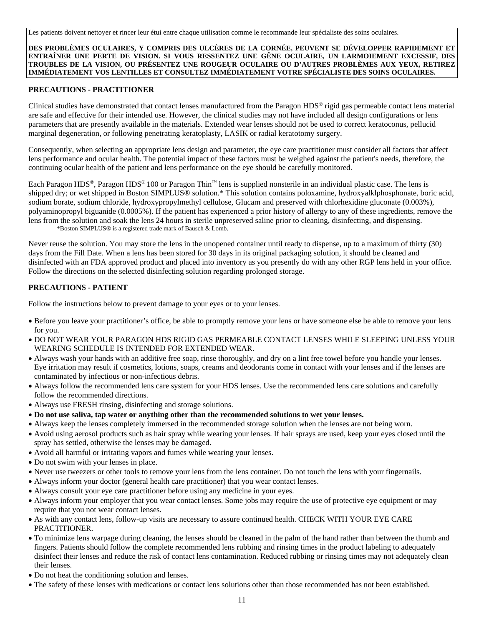Les patients doivent nettoyer et rincer leur étui entre chaque utilisation comme le recommande leur spécialiste des soins oculaires.

**DES PROBLÈMES OCULAIRES, Y COMPRIS DES ULCÈRES DE LA CORNÉE, PEUVENT SE DÉVELOPPER RAPIDEMENT ET ENTRAÎNER UNE PERTE DE VISION. SI VOUS RESSENTEZ UNE GÊNE OCULAIRE, UN LARMOIEMENT EXCESSIF, DES TROUBLES DE LA VISION, OU PRÉSENTEZ UNE ROUGEUR OCULAIRE OU D'AUTRES PROBLÈMES AUX YEUX, RETIREZ IMMÉDIATEMENT VOS LENTILLES ET CONSULTEZ IMMÉDIATEMENT VOTRE SPÉCIALISTE DES SOINS OCULAIRES.**

#### **PRECAUTIONS - PRACTITIONER**

Clinical studies have demonstrated that contact lenses manufactured from the Paragon HDS® rigid gas permeable contact lens material are safe and effective for their intended use. However, the clinical studies may not have included all design configurations or lens parameters that are presently available in the materials. Extended wear lenses should not be used to correct keratoconus, pellucid marginal degeneration, or following penetrating keratoplasty, LASIK or radial keratotomy surgery.

Consequently, when selecting an appropriate lens design and parameter, the eye care practitioner must consider all factors that affect lens performance and ocular health. The potential impact of these factors must be weighed against the patient's needs, therefore, the continuing ocular health of the patient and lens performance on the eye should be carefully monitored.

Each Paragon HDS®, Paragon HDS® 100 or Paragon Thin™ lens is supplied nonsterile in an individual plastic case. The lens is shipped dry; or wet shipped in Boston SIMPLUS® solution.\* This solution contains poloxamine, hydroxyalklphosphonate, boric acid, sodium borate, sodium chloride, hydroxypropylmethyl cellulose, Glucam and preserved with chlorhexidine gluconate (0.003%), polyaminopropyl biguanide (0.0005%). If the patient has experienced a prior history of allergy to any of these ingredients, remove the lens from the solution and soak the lens 24 hours in sterile unpreserved saline prior to cleaning, disinfecting, and dispensing. \*Boston SIMPLUS® is a registered trade mark of Bausch & Lomb.

Never reuse the solution. You may store the lens in the unopened container until ready to dispense, up to a maximum of thirty (30) days from the Fill Date. When a lens has been stored for 30 days in its original packaging solution, it should be cleaned and disinfected with an FDA approved product and placed into inventory as you presently do with any other RGP lens held in your office. Follow the directions on the selected disinfecting solution regarding prolonged storage.

#### **PRECAUTIONS - PATIENT**

Follow the instructions below to prevent damage to your eyes or to your lenses.

- Before you leave your practitioner's office, be able to promptly remove your lens or have someone else be able to remove your lens for you.
- DO NOT WEAR YOUR PARAGON HDS RIGID GAS PERMEABLE CONTACT LENSES WHILE SLEEPING UNLESS YOUR WEARING SCHEDULE IS INTENDED FOR EXTENDED WEAR.
- Always wash your hands with an additive free soap, rinse thoroughly, and dry on a lint free towel before you handle your lenses. Eye irritation may result if cosmetics, lotions, soaps, creams and deodorants come in contact with your lenses and if the lenses are contaminated by infectious or non-infectious debris.
- Always follow the recommended lens care system for your HDS lenses. Use the recommended lens care solutions and carefully follow the recommended directions.
- Always use FRESH rinsing, disinfecting and storage solutions.
- **Do not use saliva, tap water or anything other than the recommended solutions to wet your lenses.**
- Always keep the lenses completely immersed in the recommended storage solution when the lenses are not being worn.
- Avoid using aerosol products such as hair spray while wearing your lenses. If hair sprays are used, keep your eyes closed until the spray has settled, otherwise the lenses may be damaged.
- Avoid all harmful or irritating vapors and fumes while wearing your lenses.
- Do not swim with your lenses in place.
- Never use tweezers or other tools to remove your lens from the lens container. Do not touch the lens with your fingernails.
- Always inform your doctor (general health care practitioner) that you wear contact lenses.
- Always consult your eye care practitioner before using any medicine in your eyes.
- Always inform your employer that you wear contact lenses. Some jobs may require the use of protective eye equipment or may require that you not wear contact lenses.
- As with any contact lens, follow-up visits are necessary to assure continued health. CHECK WITH YOUR EYE CARE PRACTITIONER.
- To minimize lens warpage during cleaning, the lenses should be cleaned in the palm of the hand rather than between the thumb and fingers. Patients should follow the complete recommended lens rubbing and rinsing times in the product labeling to adequately disinfect their lenses and reduce the risk of contact lens contamination. Reduced rubbing or rinsing times may not adequately clean their lenses.
- Do not heat the conditioning solution and lenses.
- The safety of these lenses with medications or contact lens solutions other than those recommended has not been established.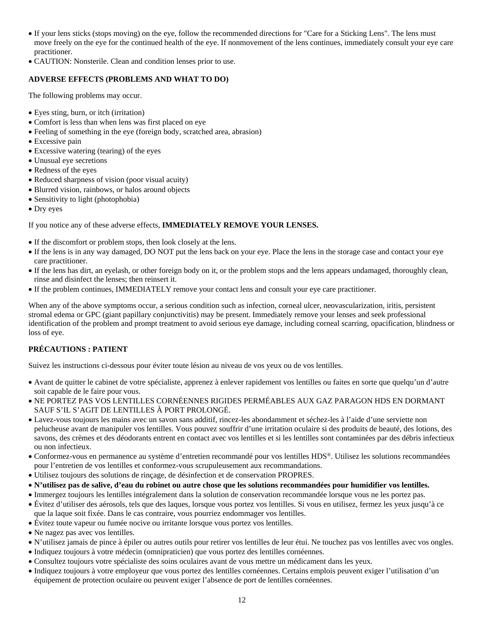- If your lens sticks (stops moving) on the eye, follow the recommended directions for "Care for a Sticking Lens". The lens must move freely on the eye for the continued health of the eye. If nonmovement of the lens continues, immediately consult your eye care practitioner.
- CAUTION: Nonsterile. Clean and condition lenses prior to use.

# **ADVERSE EFFECTS (PROBLEMS AND WHAT TO DO)**

The following problems may occur.

- Eyes sting, burn, or itch (irritation)
- Comfort is less than when lens was first placed on eye
- Feeling of something in the eye (foreign body, scratched area, abrasion)
- Excessive pain
- Excessive watering (tearing) of the eyes
- Unusual eye secretions
- Redness of the eyes
- Reduced sharpness of vision (poor visual acuity)
- Blurred vision, rainbows, or halos around objects
- Sensitivity to light (photophobia)
- Dry eyes

If you notice any of these adverse effects, **IMMEDIATELY REMOVE YOUR LENSES.**

- If the discomfort or problem stops, then look closely at the lens.
- If the lens is in any way damaged, DO NOT put the lens back on your eye. Place the lens in the storage case and contact your eye care practitioner.
- If the lens has dirt, an eyelash, or other foreign body on it, or the problem stops and the lens appears undamaged, thoroughly clean, rinse and disinfect the lenses; then reinsert it.
- If the problem continues, IMMEDIATELY remove your contact lens and consult your eye care practitioner.

When any of the above symptoms occur, a serious condition such as infection, corneal ulcer, neovascularization, iritis, persistent stromal edema or GPC (giant papillary conjunctivitis) may be present. Immediately remove your lenses and seek professional identification of the problem and prompt treatment to avoid serious eye damage, including corneal scarring, opacification, blindness or loss of eye.

# **PRÉCAUTIONS : PATIENT**

Suivez les instructions ci-dessous pour éviter toute lésion au niveau de vos yeux ou de vos lentilles.

- Avant de quitter le cabinet de votre spécialiste, apprenez à enlever rapidement vos lentilles ou faites en sorte que quelqu'un d'autre soit capable de le faire pour vous.
- NE PORTEZ PAS VOS LENTILLES CORNÉENNES RIGIDES PERMÉABLES AUX GAZ PARAGON HDS EN DORMANT SAUF S'IL S'AGIT DE LENTILLES À PORT PROLONGÉ.
- Lavez-vous toujours les mains avec un savon sans additif, rincez-les abondamment et séchez-les à l'aide d'une serviette non pelucheuse avant de manipuler vos lentilles. Vous pouvez souffrir d'une irritation oculaire si des produits de beauté, des lotions, des savons, des crèmes et des déodorants entrent en contact avec vos lentilles et si les lentilles sont contaminées par des débris infectieux ou non infectieux.
- Conformez-vous en permanence au système d'entretien recommandé pour vos lentilles HDS®. Utilisez les solutions recommandées pour l'entretien de vos lentilles et conformez-vous scrupuleusement aux recommandations.
- Utilisez toujours des solutions de rinçage, de désinfection et de conservation PROPRES.
- **N'utilisez pas de salive, d'eau du robinet ou autre chose que les solutions recommandées pour humidifier vos lentilles.**
- Immergez toujours les lentilles intégralement dans la solution de conservation recommandée lorsque vous ne les portez pas.
- Évitez d'utiliser des aérosols, tels que des laques, lorsque vous portez vos lentilles. Si vous en utilisez, fermez les yeux jusqu'à ce que la laque soit fixée. Dans le cas contraire, vous pourriez endommager vos lentilles.
- Évitez toute vapeur ou fumée nocive ou irritante lorsque vous portez vos lentilles.
- Ne nagez pas avec vos lentilles.
- N'utilisez jamais de pince à épiler ou autres outils pour retirer vos lentilles de leur étui. Ne touchez pas vos lentilles avec vos ongles.
- Indiquez toujours à votre médecin (omnipraticien) que vous portez des lentilles cornéennes.
- Consultez toujours votre spécialiste des soins oculaires avant de vous mettre un médicament dans les yeux.
- Indiquez toujours à votre employeur que vous portez des lentilles cornéennes. Certains emplois peuvent exiger l'utilisation d'un équipement de protection oculaire ou peuvent exiger l'absence de port de lentilles cornéennes.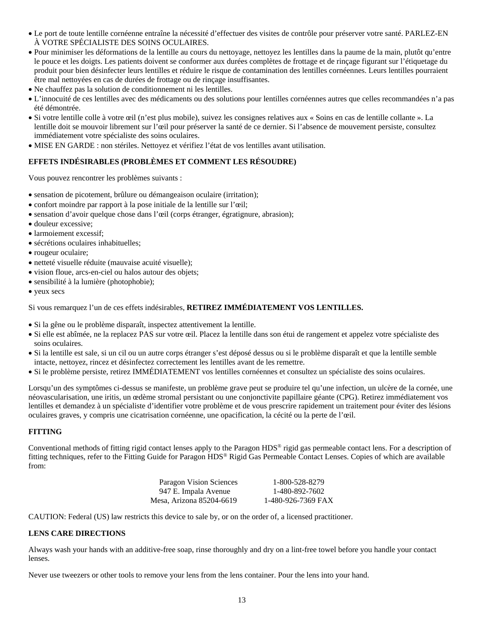- Le port de toute lentille cornéenne entraîne la nécessité d'effectuer des visites de contrôle pour préserver votre santé. PARLEZ-EN À VOTRE SPÉCIALISTE DES SOINS OCULAIRES.
- Pour minimiser les déformations de la lentille au cours du nettoyage, nettoyez les lentilles dans la paume de la main, plutôt qu'entre le pouce et les doigts. Les patients doivent se conformer aux durées complètes de frottage et de rinçage figurant sur l'étiquetage du produit pour bien désinfecter leurs lentilles et réduire le risque de contamination des lentilles cornéennes. Leurs lentilles pourraient être mal nettoyées en cas de durées de frottage ou de rinçage insuffisantes.
- Ne chauffez pas la solution de conditionnement ni les lentilles.
- L'innocuité de ces lentilles avec des médicaments ou des solutions pour lentilles cornéennes autres que celles recommandées n'a pas été démontrée.
- Si votre lentille colle à votre œil (n'est plus mobile), suivez les consignes relatives aux « Soins en cas de lentille collante ». La lentille doit se mouvoir librement sur l'œil pour préserver la santé de ce dernier. Si l'absence de mouvement persiste, consultez immédiatement votre spécialiste des soins oculaires.
- MISE EN GARDE : non stériles. Nettoyez et vérifiez l'état de vos lentilles avant utilisation.

# **EFFETS INDÉSIRABLES (PROBLÈMES ET COMMENT LES RÉSOUDRE)**

Vous pouvez rencontrer les problèmes suivants :

- sensation de picotement, brûlure ou démangeaison oculaire (irritation);
- confort moindre par rapport à la pose initiale de la lentille sur l'œil;
- sensation d'avoir quelque chose dans l'œil (corps étranger, égratignure, abrasion);
- douleur excessive;
- larmoiement excessif:
- sécrétions oculaires inhabituelles;
- rougeur oculaire;
- netteté visuelle réduite (mauvaise acuité visuelle);
- vision floue, arcs-en-ciel ou halos autour des objets;
- sensibilité à la lumière (photophobie);
- yeux secs

Si vous remarquez l'un de ces effets indésirables, **RETIREZ IMMÉDIATEMENT VOS LENTILLES.**

- Si la gêne ou le problème disparaît, inspectez attentivement la lentille.
- Si elle est abîmée, ne la replacez PAS sur votre œil. Placez la lentille dans son étui de rangement et appelez votre spécialiste des soins oculaires.
- Si la lentille est sale, si un cil ou un autre corps étranger s'est déposé dessus ou si le problème disparaît et que la lentille semble intacte, nettoyez, rincez et désinfectez correctement les lentilles avant de les remettre.
- Si le problème persiste, retirez IMMÉDIATEMENT vos lentilles cornéennes et consultez un spécialiste des soins oculaires.

Lorsqu'un des symptômes ci-dessus se manifeste, un problème grave peut se produire tel qu'une infection, un ulcère de la cornée, une néovascularisation, une iritis, un œdème stromal persistant ou une conjonctivite papillaire géante (CPG). Retirez immédiatement vos lentilles et demandez à un spécialiste d'identifier votre problème et de vous prescrire rapidement un traitement pour éviter des lésions oculaires graves, y compris une cicatrisation cornéenne, une opacification, la cécité ou la perte de l'œil.

# **FITTING**

Conventional methods of fitting rigid contact lenses apply to the Paragon HDS® rigid gas permeable contact lens. For a description of fitting techniques, refer to the Fitting Guide for Paragon HDS® Rigid Gas Permeable Contact Lenses. Copies of which are available from:

| Paragon Vision Sciences  | 1-800-528-8279     |
|--------------------------|--------------------|
| 947 E. Impala Avenue     | 1-480-892-7602     |
| Mesa, Arizona 85204-6619 | 1-480-926-7369 FAX |

CAUTION: Federal (US) law restricts this device to sale by, or on the order of, a licensed practitioner.

## **LENS CARE DIRECTIONS**

Always wash your hands with an additive-free soap, rinse thoroughly and dry on a lint-free towel before you handle your contact lenses.

Never use tweezers or other tools to remove your lens from the lens container. Pour the lens into your hand.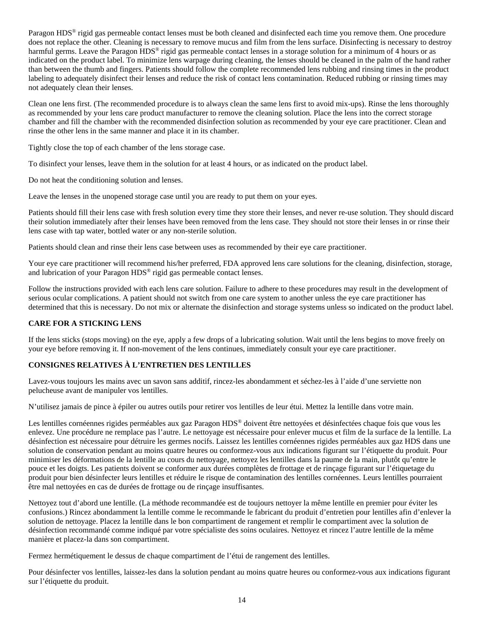Paragon HDS® rigid gas permeable contact lenses must be both cleaned and disinfected each time you remove them. One procedure does not replace the other. Cleaning is necessary to remove mucus and film from the lens surface. Disinfecting is necessary to destroy harmful germs. Leave the Paragon HDS<sup>®</sup> rigid gas permeable contact lenses in a storage solution for a minimum of 4 hours or as indicated on the product label. To minimize lens warpage during cleaning, the lenses should be cleaned in the palm of the hand rather than between the thumb and fingers. Patients should follow the complete recommended lens rubbing and rinsing times in the product labeling to adequately disinfect their lenses and reduce the risk of contact lens contamination. Reduced rubbing or rinsing times may not adequately clean their lenses.

Clean one lens first. (The recommended procedure is to always clean the same lens first to avoid mix-ups). Rinse the lens thoroughly as recommended by your lens care product manufacturer to remove the cleaning solution. Place the lens into the correct storage chamber and fill the chamber with the recommended disinfection solution as recommended by your eye care practitioner. Clean and rinse the other lens in the same manner and place it in its chamber.

Tightly close the top of each chamber of the lens storage case.

To disinfect your lenses, leave them in the solution for at least 4 hours, or as indicated on the product label.

Do not heat the conditioning solution and lenses.

Leave the lenses in the unopened storage case until you are ready to put them on your eyes.

Patients should fill their lens case with fresh solution every time they store their lenses, and never re-use solution. They should discard their solution immediately after their lenses have been removed from the lens case. They should not store their lenses in or rinse their lens case with tap water, bottled water or any non-sterile solution.

Patients should clean and rinse their lens case between uses as recommended by their eye care practitioner.

Your eye care practitioner will recommend his/her preferred, FDA approved lens care solutions for the cleaning, disinfection, storage, and lubrication of your Paragon HDS® rigid gas permeable contact lenses.

Follow the instructions provided with each lens care solution. Failure to adhere to these procedures may result in the development of serious ocular complications. A patient should not switch from one care system to another unless the eye care practitioner has determined that this is necessary. Do not mix or alternate the disinfection and storage systems unless so indicated on the product label.

## **CARE FOR A STICKING LENS**

If the lens sticks (stops moving) on the eye, apply a few drops of a lubricating solution. Wait until the lens begins to move freely on your eye before removing it. If non-movement of the lens continues, immediately consult your eye care practitioner.

# **CONSIGNES RELATIVES À L'ENTRETIEN DES LENTILLES**

Lavez-vous toujours les mains avec un savon sans additif, rincez-les abondamment et séchez-les à l'aide d'une serviette non pelucheuse avant de manipuler vos lentilles.

N'utilisez jamais de pince à épiler ou autres outils pour retirer vos lentilles de leur étui. Mettez la lentille dans votre main.

Les lentilles cornéennes rigides perméables aux gaz Paragon HDS® doivent être nettoyées et désinfectées chaque fois que vous les enlevez. Une procédure ne remplace pas l'autre. Le nettoyage est nécessaire pour enlever mucus et film de la surface de la lentille. La désinfection est nécessaire pour détruire les germes nocifs. Laissez les lentilles cornéennes rigides perméables aux gaz HDS dans une solution de conservation pendant au moins quatre heures ou conformez-vous aux indications figurant sur l'étiquette du produit. Pour minimiser les déformations de la lentille au cours du nettoyage, nettoyez les lentilles dans la paume de la main, plutôt qu'entre le pouce et les doigts. Les patients doivent se conformer aux durées complètes de frottage et de rinçage figurant sur l'étiquetage du produit pour bien désinfecter leurs lentilles et réduire le risque de contamination des lentilles cornéennes. Leurs lentilles pourraient être mal nettoyées en cas de durées de frottage ou de rinçage insuffisantes.

Nettoyez tout d'abord une lentille. (La méthode recommandée est de toujours nettoyer la même lentille en premier pour éviter les confusions.) Rincez abondamment la lentille comme le recommande le fabricant du produit d'entretien pour lentilles afin d'enlever la solution de nettoyage. Placez la lentille dans le bon compartiment de rangement et remplir le compartiment avec la solution de désinfection recommandé comme indiqué par votre spécialiste des soins oculaires. Nettoyez et rincez l'autre lentille de la même manière et placez-la dans son compartiment.

Fermez hermétiquement le dessus de chaque compartiment de l'étui de rangement des lentilles.

Pour désinfecter vos lentilles, laissez-les dans la solution pendant au moins quatre heures ou conformez-vous aux indications figurant sur l'étiquette du produit.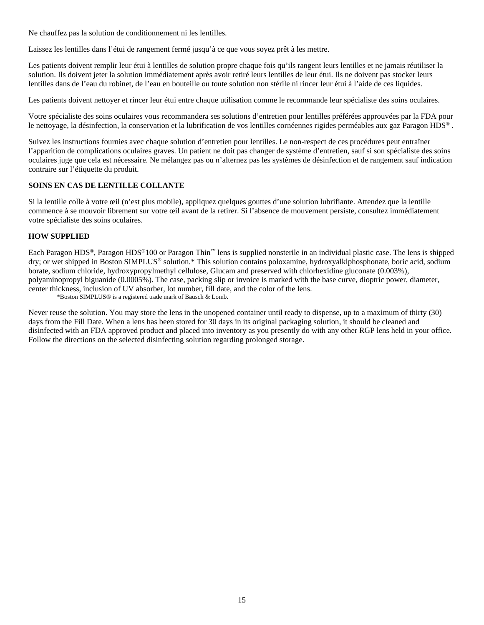Ne chauffez pas la solution de conditionnement ni les lentilles.

Laissez les lentilles dans l'étui de rangement fermé jusqu'à ce que vous soyez prêt à les mettre.

Les patients doivent remplir leur étui à lentilles de solution propre chaque fois qu'ils rangent leurs lentilles et ne jamais réutiliser la solution. Ils doivent jeter la solution immédiatement après avoir retiré leurs lentilles de leur étui. Ils ne doivent pas stocker leurs lentilles dans de l'eau du robinet, de l'eau en bouteille ou toute solution non stérile ni rincer leur étui à l'aide de ces liquides.

Les patients doivent nettoyer et rincer leur étui entre chaque utilisation comme le recommande leur spécialiste des soins oculaires.

Votre spécialiste des soins oculaires vous recommandera ses solutions d'entretien pour lentilles préférées approuvées par la FDA pour le nettoyage, la désinfection, la conservation et la lubrification de vos lentilles cornéennes rigides perméables aux gaz Paragon HDS® .

Suivez les instructions fournies avec chaque solution d'entretien pour lentilles. Le non-respect de ces procédures peut entraîner l'apparition de complications oculaires graves. Un patient ne doit pas changer de système d'entretien, sauf si son spécialiste des soins oculaires juge que cela est nécessaire. Ne mélangez pas ou n'alternez pas les systèmes de désinfection et de rangement sauf indication contraire sur l'étiquette du produit.

#### **SOINS EN CAS DE LENTILLE COLLANTE**

Si la lentille colle à votre œil (n'est plus mobile), appliquez quelques gouttes d'une solution lubrifiante. Attendez que la lentille commence à se mouvoir librement sur votre œil avant de la retirer. Si l'absence de mouvement persiste, consultez immédiatement votre spécialiste des soins oculaires.

## **HOW SUPPLIED**

Each Paragon HDS®, Paragon HDS®100 or Paragon Thin™ lens is supplied nonsterile in an individual plastic case. The lens is shipped dry; or wet shipped in Boston SIMPLUS® solution.\* This solution contains poloxamine, hydroxyalklphosphonate, boric acid, sodium borate, sodium chloride, hydroxypropylmethyl cellulose, Glucam and preserved with chlorhexidine gluconate (0.003%), polyaminopropyl biguanide (0.0005%). The case, packing slip or invoice is marked with the base curve, dioptric power, diameter, center thickness, inclusion of UV absorber, lot number, fill date, and the color of the lens.

\*Boston SIMPLUS® is a registered trade mark of Bausch & Lomb.

Never reuse the solution. You may store the lens in the unopened container until ready to dispense, up to a maximum of thirty (30) days from the Fill Date. When a lens has been stored for 30 days in its original packaging solution, it should be cleaned and disinfected with an FDA approved product and placed into inventory as you presently do with any other RGP lens held in your office. Follow the directions on the selected disinfecting solution regarding prolonged storage.